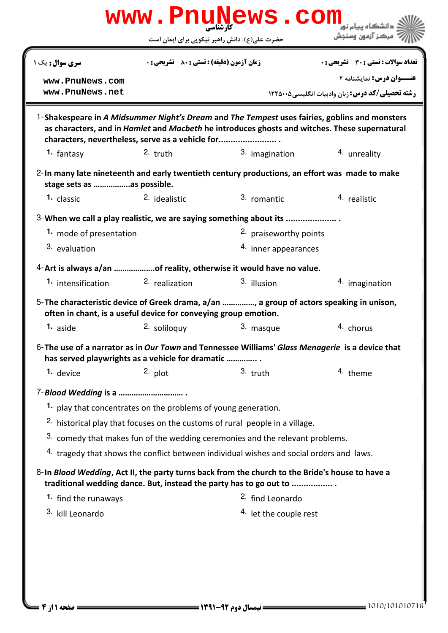|                                                                 |                                                    | حضرت علی(ع): دانش راهبر نیکویی برای ایمان است                                                                                                                                                  | مركز آزمون وسنجش                                        |  |
|-----------------------------------------------------------------|----------------------------------------------------|------------------------------------------------------------------------------------------------------------------------------------------------------------------------------------------------|---------------------------------------------------------|--|
| سری سوال: یک ۱                                                  | <b>زمان آزمون (دقیقه) : تستی : 80 ٪ تشریحی : 0</b> |                                                                                                                                                                                                | تعداد سوالات : تستى : 30 ٪ تشريحي : 0                   |  |
| www.PnuNews.com                                                 |                                                    |                                                                                                                                                                                                | عنــوان درس: نمایشنامه ۲                                |  |
| www.PnuNews.net                                                 |                                                    |                                                                                                                                                                                                | <b>رشته تحصیلی/کد درس:</b> زبان وادبیات انگلیسی5۰۰۵ ۱۲۲ |  |
| characters, nevertheless, serve as a vehicle for                |                                                    | 1-Shakespeare in A Midsummer Night's Dream and The Tempest uses fairies, goblins and monsters<br>as characters, and in Hamlet and Macbeth he introduces ghosts and witches. These supernatural |                                                         |  |
| 1. fantasy                                                      | $2.$ truth                                         | 3. imagination                                                                                                                                                                                 | 4. unreality                                            |  |
| stage sets as  as possible.                                     |                                                    | 2-In many late nineteenth and early twentieth century productions, an effort was made to make                                                                                                  |                                                         |  |
| 1. classic                                                      | 2. idealistic                                      | 3. romantic                                                                                                                                                                                    | 4. realistic                                            |  |
|                                                                 |                                                    | 3-When we call a play realistic, we are saying something about its                                                                                                                             |                                                         |  |
| 1. mode of presentation                                         |                                                    | <sup>2.</sup> praiseworthy points                                                                                                                                                              |                                                         |  |
| 3. evaluation                                                   |                                                    |                                                                                                                                                                                                | 4. inner appearances                                    |  |
|                                                                 |                                                    | 4-Art is always a/an of reality, otherwise it would have no value.                                                                                                                             |                                                         |  |
| 1. intensification                                              | <sup>2</sup> realization                           | 3. illusion                                                                                                                                                                                    | 4. imagination                                          |  |
| often in chant, is a useful device for conveying group emotion. |                                                    | 5-The characteristic device of Greek drama, a/an , a group of actors speaking in unison,                                                                                                       |                                                         |  |
| 1. aside                                                        | <sup>2.</sup> soliloguv                            | 3. masque                                                                                                                                                                                      | 4. chorus                                               |  |
| has served playwrights as a vehicle for dramatic                |                                                    | 6-The use of a narrator as in Our Town and Tennessee Williams' Glass Menagerie is a device that                                                                                                |                                                         |  |
| 1. device                                                       | $2.$ plot                                          | $3.$ truth                                                                                                                                                                                     | 4. theme                                                |  |
|                                                                 |                                                    |                                                                                                                                                                                                |                                                         |  |
| 1. play that concentrates on the problems of young generation.  |                                                    |                                                                                                                                                                                                |                                                         |  |
|                                                                 |                                                    | <sup>2.</sup> historical play that focuses on the customs of rural people in a village.                                                                                                        |                                                         |  |
|                                                                 |                                                    | 3. comedy that makes fun of the wedding ceremonies and the relevant problems.                                                                                                                  |                                                         |  |
|                                                                 |                                                    | <sup>4.</sup> tragedy that shows the conflict between individual wishes and social orders and laws.                                                                                            |                                                         |  |
|                                                                 |                                                    | 8-In Blood Wedding, Act II, the party turns back from the church to the Bride's house to have a<br>traditional wedding dance. But, instead the party has to go out to                          |                                                         |  |
|                                                                 |                                                    | <sup>2.</sup> find Leonardo                                                                                                                                                                    |                                                         |  |
| 1. find the runaways                                            |                                                    |                                                                                                                                                                                                |                                                         |  |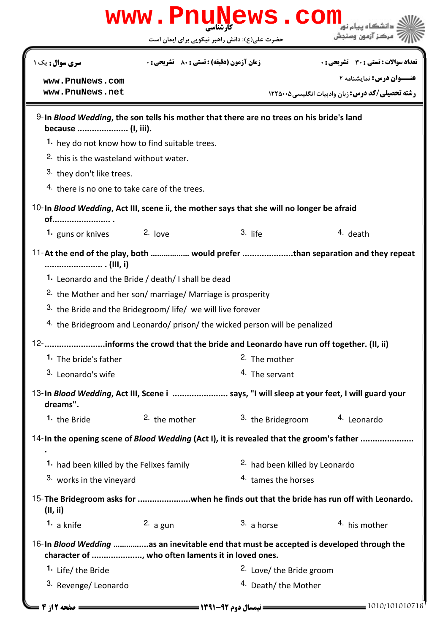|                                                                                                                | www.PnuNews.com                                                             |                                     |                                                                                            |  |  |  |
|----------------------------------------------------------------------------------------------------------------|-----------------------------------------------------------------------------|-------------------------------------|--------------------------------------------------------------------------------------------|--|--|--|
|                                                                                                                | حضرت علی(ع): دانش راهبر نیکویی برای ایمان است                               |                                     | مركز آزمون وسنجش                                                                           |  |  |  |
| <b>سری سوال :</b> یک ۱                                                                                         | زمان آزمون (دقیقه) : تستی : 80 ٪ تشریحی : 0                                 |                                     | تعداد سوالات : تستى : 30 ٪ تشريحي : 0                                                      |  |  |  |
| www.PnuNews.com                                                                                                |                                                                             |                                     | عنــوان درس: نمایشنامه ۲                                                                   |  |  |  |
| www.PnuNews.net                                                                                                |                                                                             |                                     | <b>رشته تحصیلی/کد درس:</b> زبان وادبیات انگلیسی ۱۲۲۵۰۰۵                                    |  |  |  |
| 9-In Blood Wedding, the son tells his mother that there are no trees on his bride's land<br>because  (I, iii). |                                                                             |                                     |                                                                                            |  |  |  |
|                                                                                                                | 1. hey do not know how to find suitable trees.                              |                                     |                                                                                            |  |  |  |
| 2. this is the wasteland without water.                                                                        |                                                                             |                                     |                                                                                            |  |  |  |
| 3. they don't like trees.                                                                                      |                                                                             |                                     |                                                                                            |  |  |  |
| 4. there is no one to take care of the trees.                                                                  |                                                                             |                                     |                                                                                            |  |  |  |
| 10-In Blood Wedding, Act III, scene ii, the mother says that she will no longer be afraid<br>of                |                                                                             |                                     |                                                                                            |  |  |  |
| <b>1.</b> guns or knives                                                                                       | $2.$ love                                                                   | $3.$ life                           | $4.$ death                                                                                 |  |  |  |
|                                                                                                                |                                                                             |                                     | 11-At the end of the play, both  would prefer than separation and they repeat              |  |  |  |
|                                                                                                                | 1. Leonardo and the Bride / death/ I shall be dead                          |                                     |                                                                                            |  |  |  |
|                                                                                                                | <sup>2.</sup> the Mother and her son/ marriage/ Marriage is prosperity      |                                     |                                                                                            |  |  |  |
|                                                                                                                | 3. the Bride and the Bridegroom/ life/ we will live forever                 |                                     |                                                                                            |  |  |  |
|                                                                                                                | 4. the Bridegroom and Leonardo/ prison/ the wicked person will be penalized |                                     |                                                                                            |  |  |  |
| 12-informs the crowd that the bride and Leonardo have run off together. (II, ii)                               |                                                                             |                                     |                                                                                            |  |  |  |
| 1. The bride's father                                                                                          |                                                                             | <sup>2</sup> The mother             |                                                                                            |  |  |  |
| 3. Leonardo's wife                                                                                             |                                                                             | 4. The servant                      |                                                                                            |  |  |  |
| dreams".                                                                                                       |                                                                             |                                     | 13-In Blood Wedding, Act III, Scene i  says, "I will sleep at your feet, I will guard your |  |  |  |
| 1. the Bride                                                                                                   | 2. the mother                                                               | <sup>3.</sup> the Bridegroom        | 4. Leonardo                                                                                |  |  |  |
|                                                                                                                |                                                                             |                                     | 14-In the opening scene of Blood Wedding (Act I), it is revealed that the groom's father   |  |  |  |
| 1. had been killed by the Felixes family                                                                       |                                                                             |                                     | 2. had been killed by Leonardo                                                             |  |  |  |
| 3. works in the vineyard                                                                                       |                                                                             | 4. tames the horses                 |                                                                                            |  |  |  |
| (II, ii)                                                                                                       |                                                                             |                                     | 15- The Bridegroom asks for when he finds out that the bride has run off with Leonardo.    |  |  |  |
| 1. a knife                                                                                                     | 2. $a$ gun                                                                  | $3. a$ horse                        | 4. his mother                                                                              |  |  |  |
|                                                                                                                | character of , who often laments it in loved ones.                          |                                     | 16-In Blood Wedding as an inevitable end that must be accepted is developed through the    |  |  |  |
| 1. Life/ the Bride                                                                                             |                                                                             | <sup>2.</sup> Love/ the Bride groom |                                                                                            |  |  |  |
| 3. Revenge/Leonardo                                                                                            |                                                                             | <sup>4.</sup> Death/ the Mother     |                                                                                            |  |  |  |
| <b>= 6 صفحه 12 ق</b>                                                                                           |                                                                             |                                     | 1010/101010716                                                                             |  |  |  |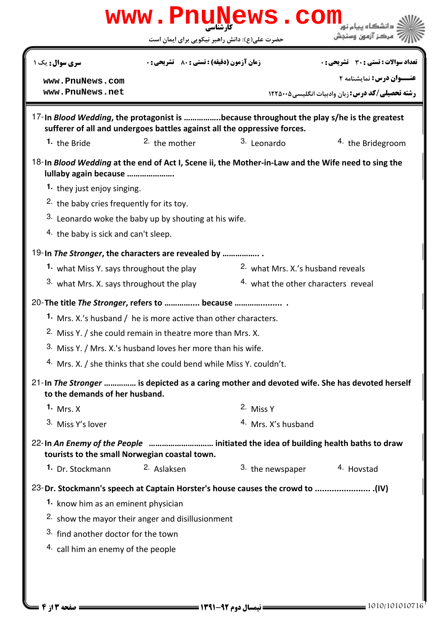| www.PnuNews.com                                              |                                                                                                                                                                      |                                     |                                                                                              |  |  |  |
|--------------------------------------------------------------|----------------------------------------------------------------------------------------------------------------------------------------------------------------------|-------------------------------------|----------------------------------------------------------------------------------------------|--|--|--|
|                                                              | حضرت علی(ع): دانش راهبر نیکویی برای ایمان است                                                                                                                        |                                     | مركز آزمون وسنجش                                                                             |  |  |  |
| <b>سری سوال:</b> یک ۱                                        | <b>زمان آزمون (دقیقه) : تستی : 80 ٪ تشریحی : 0</b>                                                                                                                   |                                     | <b>تعداد سوالات : تستی : 30 ٪ تشریحی : 0</b>                                                 |  |  |  |
| www.PnuNews.com                                              |                                                                                                                                                                      |                                     | عنــوان درس: نمایشنامه ۲                                                                     |  |  |  |
| www.PnuNews.net                                              |                                                                                                                                                                      |                                     | <b>رشته تحصیلی/کد درس:</b> زبان وادبیات انگلیسی ۱۲۲۵۰۰۵                                      |  |  |  |
|                                                              | 17-In Blood Wedding, the protagonist is because throughout the play s/he is the greatest<br>sufferer of all and undergoes battles against all the oppressive forces. |                                     |                                                                                              |  |  |  |
| 1. the Bride                                                 | $2.$ the mother                                                                                                                                                      | 3. Leonardo                         | <sup>4</sup> the Bridegroom                                                                  |  |  |  |
| lullaby again because                                        | 18-In Blood Wedding at the end of Act I, Scene ii, the Mother-in-Law and the Wife need to sing the                                                                   |                                     |                                                                                              |  |  |  |
| 1. they just enjoy singing.                                  |                                                                                                                                                                      |                                     |                                                                                              |  |  |  |
| <sup>2.</sup> the baby cries frequently for its toy.         |                                                                                                                                                                      |                                     |                                                                                              |  |  |  |
|                                                              | 3. Leonardo woke the baby up by shouting at his wife.                                                                                                                |                                     |                                                                                              |  |  |  |
| 4. the baby is sick and can't sleep.                         |                                                                                                                                                                      |                                     |                                                                                              |  |  |  |
|                                                              | 19-In The Stronger, the characters are revealed by                                                                                                                   |                                     |                                                                                              |  |  |  |
| 1. what Miss Y. says throughout the play                     |                                                                                                                                                                      | 2. what Mrs. X's husband reveals    |                                                                                              |  |  |  |
| 3. what Mrs. X. says throughout the play                     |                                                                                                                                                                      | 4. what the other characters reveal |                                                                                              |  |  |  |
|                                                              |                                                                                                                                                                      |                                     |                                                                                              |  |  |  |
|                                                              | 1. Mrs. X's husband / he is more active than other characters.                                                                                                       |                                     |                                                                                              |  |  |  |
|                                                              | <sup>2.</sup> Miss Y. / she could remain in theatre more than Mrs. X.                                                                                                |                                     |                                                                                              |  |  |  |
| 3. Miss Y. / Mrs. X.'s husband loves her more than his wife. |                                                                                                                                                                      |                                     |                                                                                              |  |  |  |
|                                                              | <sup>4.</sup> Mrs. X. / she thinks that she could bend while Miss Y. couldn't.                                                                                       |                                     |                                                                                              |  |  |  |
| to the demands of her husband.                               |                                                                                                                                                                      |                                     | 21-In The Stronger  is depicted as a caring mother and devoted wife. She has devoted herself |  |  |  |
| 1. Mrs. $X$                                                  |                                                                                                                                                                      | 2. Miss Y                           |                                                                                              |  |  |  |
| 3. Miss Y's lover                                            |                                                                                                                                                                      | <sup>4</sup> Mrs. X's husband       |                                                                                              |  |  |  |
|                                                              | 22-In An Enemy of the People  initiated the idea of building health baths to draw<br>tourists to the small Norwegian coastal town.                                   |                                     |                                                                                              |  |  |  |
| 1. Dr. Stockmann                                             | 2. Aslaksen                                                                                                                                                          | 3. the newspaper                    | 4. Hovstad                                                                                   |  |  |  |
|                                                              | (IV). ----------------------------- 23-Dr. Stockmann's speech at Captain Horster's house causes the crowd to                                                         |                                     |                                                                                              |  |  |  |
| 1. know him as an eminent physician                          |                                                                                                                                                                      |                                     |                                                                                              |  |  |  |
|                                                              | <sup>2.</sup> show the mayor their anger and disillusionment                                                                                                         |                                     |                                                                                              |  |  |  |
| 3. find another doctor for the town                          |                                                                                                                                                                      |                                     |                                                                                              |  |  |  |
| <sup>4.</sup> call him an enemy of the people                |                                                                                                                                                                      |                                     |                                                                                              |  |  |  |
|                                                              |                                                                                                                                                                      |                                     |                                                                                              |  |  |  |
|                                                              |                                                                                                                                                                      |                                     |                                                                                              |  |  |  |
|                                                              |                                                                                                                                                                      |                                     |                                                                                              |  |  |  |